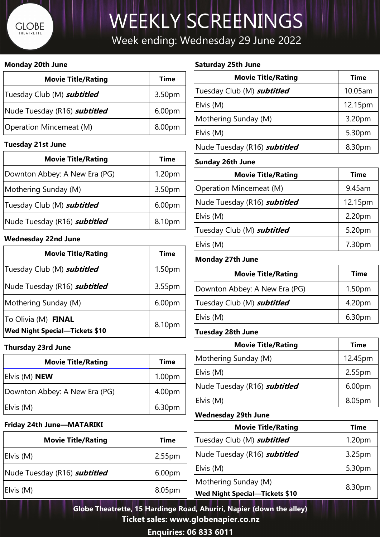## **GLOBE** THEATRETTE

# WEEKLY SCREENINGS

### Week ending: Wednesday 29 June 2022

**Ticket sales: www.globenapier.co.nz**

**Enquiries: 06 833 6011**

#### **Saturday 25th June**

| <b>Movie Title/Rating</b>           | <b>Time</b> |
|-------------------------------------|-------------|
| Tuesday Club (M) <b>subtitled</b>   | 10.05am     |
| Elvis (M)                           | 12.15pm     |
| Mothering Sunday (M)                | 3.20pm      |
| Elvis $(M)$                         | 5.30pm      |
| Nude Tuesday (R16) <b>subtitled</b> | 8.30pm      |

#### **Sunday 26th June**

| <b>Movie Title/Rating</b>         | <b>Time</b> |
|-----------------------------------|-------------|
| <b>Operation Mincemeat (M)</b>    | 9.45am      |
| Nude Tuesday (R16) subtitled      | 12.15pm     |
| Elvis $(M)$                       | 2.20pm      |
| Tuesday Club (M) <b>subtitled</b> | 5.20pm      |
| Elvis $(M)$                       | 7.30pm      |

#### **Monday 27th June**

| <b>Movie Title/Rating</b>         | <b>Time</b>        |
|-----------------------------------|--------------------|
| Downton Abbey: A New Era (PG)     | 1.50 <sub>pm</sub> |
| Tuesday Club (M) <b>subtitled</b> | 4.20pm             |
| Elvis (M)                         | 6.30pm             |

#### **Tuesday 28th June**

| <b>Movie Title/Rating</b>                  | <b>Time</b>        |
|--------------------------------------------|--------------------|
| Mothering Sunday (M)                       | 12.45pm            |
| Elvis (M)                                  | 2.55pm             |
| Nude Tuesday (R16) <b><i>subtitled</i></b> | 6.00 <sub>pm</sub> |
| Elvis (M)                                  | 8.05pm             |

#### **Wednesday 29th June**

| <b>Movie Title/Rating</b>                      | <b>Time</b> | Tuesday Cl       |
|------------------------------------------------|-------------|------------------|
| Elvis $(M)$                                    | 2.55pm      | <b>Nude Tues</b> |
| Nude Tuesday (R16) <b>subtitled</b>            | 6.00pm      | Elvis (M)        |
|                                                |             | Mothering        |
| Elvis $(M)$                                    | 8.05pm      | <b>Wed Night</b> |
| Globe Theatrette, 15 Hardinge Road, Ahuriri, N |             |                  |

|                                                                                                           | <b>Movie Title/Rating</b>                                     | <b>Time</b> |
|-----------------------------------------------------------------------------------------------------------|---------------------------------------------------------------|-------------|
| <b>Time</b>                                                                                               | Tuesday Club (M) <b>subtitled</b>                             | 1.20pm      |
| 2.55 <sub>pm</sub>                                                                                        | Nude Tuesday (R16) <b>subtitled</b>                           | 3.25pm      |
| 6.00 <sub>pm</sub>                                                                                        | Elvis $(M)$                                                   | 5.30pm      |
| 8.05pm                                                                                                    | Mothering Sunday (M)<br><b>Wed Night Special-Tickets \$10</b> | 8.30pm      |
| ette, 15 Hardinge Road, Ahuriri, Napier (down the alley)<br>. Tilliat alah sebagai alah kamaming kalendar |                                                               |             |

#### **Monday 20th June**

| <b>Movie Title/Rating</b>           | <b>Time</b> |
|-------------------------------------|-------------|
| Tuesday Club (M) <b>subtitled</b>   | 3.50pm      |
| Nude Tuesday (R16) <b>subtitled</b> | 6.00pm      |
| <b>Operation Mincemeat (M)</b>      | 8.00pm      |

#### **Tuesday 21st June**

| <b>Movie Title/Rating</b>           | <b>Time</b> |
|-------------------------------------|-------------|
| Downton Abbey: A New Era (PG)       | 1.20pm      |
| Mothering Sunday (M)                | 3.50pm      |
| Tuesday Club (M) <b>subtitled</b>   | 6.00pm      |
| Nude Tuesday (R16) <b>subtitled</b> | 8.10pm      |

#### **Wednesday 22nd June**

| <b>Movie Title/Rating</b>                                    | <b>Time</b>        |
|--------------------------------------------------------------|--------------------|
| Tuesday Club (M) <b>subtitled</b>                            | 1.50 <sub>pm</sub> |
| Nude Tuesday (R16) <b>subtitled</b>                          | 3.55pm             |
| Mothering Sunday (M)                                         | 6.00 <sub>pm</sub> |
| To Olivia (M) FINAL<br><b>Wed Night Special-Tickets \$10</b> | 8.10pm             |

#### **Thursday 23rd June**

| <b>Movie Title/Rating</b>     | <b>Time</b>        |
|-------------------------------|--------------------|
| Elvis (M) <b>NEW</b>          | 1.00 <sub>pm</sub> |
| Downton Abbey: A New Era (PG) | 4.00pm             |
| Elvis(M)                      | 6.30pm             |

#### **Friday 24th June—MATARIKI**